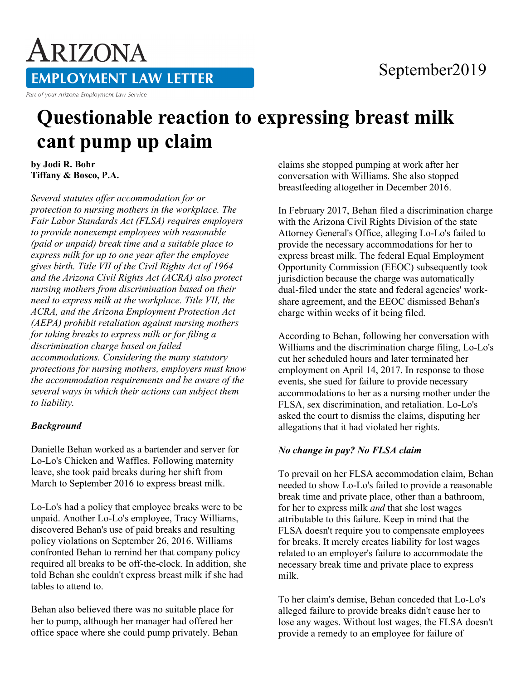# September2019

**EMPLOYMENT LAW LETTER** 

Part of your Arizona Employment Law Service

ARIZONA

# **Questionable reaction to expressing breast milk cant pump up claim**

**by Jodi R. Bohr Tiffany & Bosco, P.A.** 

*Several statutes offer accommodation for or protection to nursing mothers in the workplace. The Fair Labor Standards Act (FLSA) requires employers to provide nonexempt employees with reasonable (paid or unpaid) break time and a suitable place to express milk for up to one year after the employee gives birth. Title VII of the Civil Rights Act of 1964 and the Arizona Civil Rights Act (ACRA) also protect nursing mothers from discrimination based on their need to express milk at the workplace. Title VII, the ACRA, and the Arizona Employment Protection Act (AEPA) prohibit retaliation against nursing mothers for taking breaks to express milk or for filing a discrimination charge based on failed accommodations. Considering the many statutory protections for nursing mothers, employers must know the accommodation requirements and be aware of the several ways in which their actions can subject them to liability.*

#### *Background*

Danielle Behan worked as a bartender and server for Lo-Lo's Chicken and Waffles. Following maternity leave, she took paid breaks during her shift from March to September 2016 to express breast milk.

Lo-Lo's had a policy that employee breaks were to be unpaid. Another Lo-Lo's employee, Tracy Williams, discovered Behan's use of paid breaks and resulting policy violations on September 26, 2016. Williams confronted Behan to remind her that company policy required all breaks to be off-the-clock. In addition, she told Behan she couldn't express breast milk if she had tables to attend to.

Behan also believed there was no suitable place for her to pump, although her manager had offered her office space where she could pump privately. Behan claims she stopped pumping at work after her conversation with Williams. She also stopped breastfeeding altogether in December 2016.

In February 2017, Behan filed a discrimination charge with the Arizona Civil Rights Division of the state Attorney General's Office, alleging Lo-Lo's failed to provide the necessary accommodations for her to express breast milk. The federal Equal Employment Opportunity Commission (EEOC) subsequently took jurisdiction because the charge was automatically dual-filed under the state and federal agencies' workshare agreement, and the EEOC dismissed Behan's charge within weeks of it being filed.

According to Behan, following her conversation with Williams and the discrimination charge filing, Lo-Lo's cut her scheduled hours and later terminated her employment on April 14, 2017. In response to those events, she sued for failure to provide necessary accommodations to her as a nursing mother under the FLSA, sex discrimination, and retaliation. Lo-Lo's asked the court to dismiss the claims, disputing her allegations that it had violated her rights.

#### *No change in pay? No FLSA claim*

To prevail on her FLSA accommodation claim, Behan needed to show Lo-Lo's failed to provide a reasonable break time and private place, other than a bathroom, for her to express milk *and* that she lost wages attributable to this failure. Keep in mind that the FLSA doesn't require you to compensate employees for breaks. It merely creates liability for lost wages related to an employer's failure to accommodate the necessary break time and private place to express milk.

To her claim's demise, Behan conceded that Lo-Lo's alleged failure to provide breaks didn't cause her to lose any wages. Without lost wages, the FLSA doesn't provide a remedy to an employee for failure of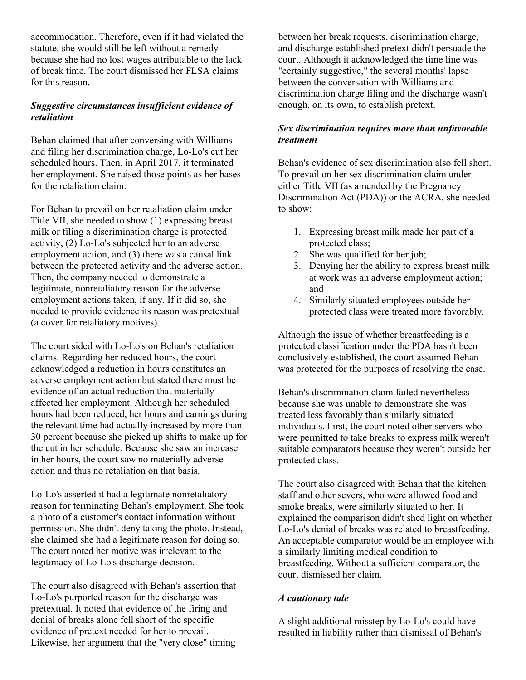accommodation. Therefore, even if it had violated the statute, she would still be left without a remedy because she had no lost wages attributable to the lack of break time. The court dismissed her FLSA claims for this reason.

# *Suggestive circumstances insufficient evidence of retaliation*

Behan claimed that after conversing with Williams and filing her discrimination charge, Lo-Lo's cut her scheduled hours. Then, in April 2017, it terminated her employment. She raised those points as her bases for the retaliation claim.

For Behan to prevail on her retaliation claim under Title VII, she needed to show (1) expressing breast milk or filing a discrimination charge is protected activity, (2) Lo-Lo's subjected her to an adverse employment action, and (3) there was a causal link between the protected activity and the adverse action. Then, the company needed to demonstrate a legitimate, nonretaliatory reason for the adverse employment actions taken, if any. If it did so, she needed to provide evidence its reason was pretextual (a cover for retaliatory motives).

The court sided with Lo-Lo's on Behan's retaliation claims. Regarding her reduced hours, the court acknowledged a reduction in hours constitutes an adverse employment action but stated there must be evidence of an actual reduction that materially affected her employment. Although her scheduled hours had been reduced, her hours and earnings during the relevant time had actually increased by more than 30 percent because she picked up shifts to make up for the cut in her schedule. Because she saw an increase in her hours, the court saw no materially adverse action and thus no retaliation on that basis.

Lo-Lo's asserted it had a legitimate nonretaliatory reason for terminating Behan's employment. She took a photo of a customer's contact information without permission. She didn't deny taking the photo. Instead, she claimed she had a legitimate reason for doing so. The court noted her motive was irrelevant to the legitimacy of Lo-Lo's discharge decision.

The court also disagreed with Behan's assertion that Lo-Lo's purported reason for the discharge was pretextual. It noted that evidence of the firing and denial of breaks alone fell short of the specific evidence of pretext needed for her to prevail. Likewise, her argument that the "very close" timing between her break requests, discrimination charge, and discharge established pretext didn't persuade the court. Although it acknowledged the time line was "certainly suggestive," the several months' lapse between the conversation with Williams and discrimination charge filing and the discharge wasn't enough, on its own, to establish pretext.

# *Sex discrimination requires more than unfavorable treatment*

Behan's evidence of sex discrimination also fell short. To prevail on her sex discrimination claim under either Title VII (as amended by the Pregnancy Discrimination Act (PDA)) or the ACRA, she needed to show:

- 1. Expressing breast milk made her part of a protected class;
- 2. She was qualified for her job;
- 3. Denying her the ability to express breast milk at work was an adverse employment action; and
- 4. Similarly situated employees outside her protected class were treated more favorably.

Although the issue of whether breastfeeding is a protected classification under the PDA hasn't been conclusively established, the court assumed Behan was protected for the purposes of resolving the case.

Behan's discrimination claim failed nevertheless because she was unable to demonstrate she was treated less favorably than similarly situated individuals. First, the court noted other servers who were permitted to take breaks to express milk weren't suitable comparators because they weren't outside her protected class.

The court also disagreed with Behan that the kitchen staff and other severs, who were allowed food and smoke breaks, were similarly situated to her. It explained the comparison didn't shed light on whether Lo-Lo's denial of breaks was related to breastfeeding. An acceptable comparator would be an employee with a similarly limiting medical condition to breastfeeding. Without a sufficient comparator, the court dismissed her claim.

# *A cautionary tale*

A slight additional misstep by Lo-Lo's could have resulted in liability rather than dismissal of Behan's